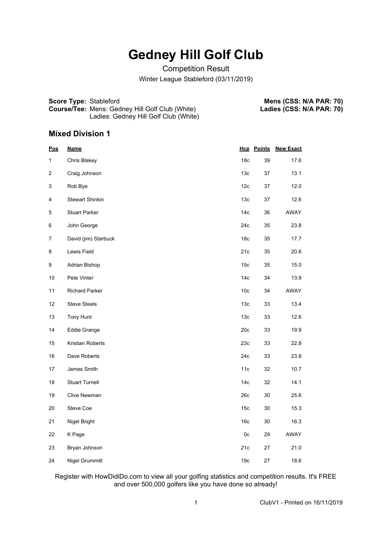## **Gedney Hill Golf Club**

Competition Result

Winter League Stableford (03/11/2019)

**Score Type:** Stableford **Course/Tee:** Mens: Gedney Hill Golf Club (White) Ladies: Gedney Hill Golf Club (White)

**Mens (CSS: N/A PAR: 70) Ladies (CSS: N/A PAR: 70)**

## **Mixed Division 1**

| <u>Pos</u>     | <u>Name</u>            |                 | <b>Hcp</b> Points | <b>New Exact</b> |
|----------------|------------------------|-----------------|-------------------|------------------|
| 1              | Chris Blakey           | 18 <sub>c</sub> | 39                | 17.6             |
| 2              | Craig Johnson          | 13 <sub>c</sub> | 37                | 13.1             |
| 3              | Rob Bye                | 12c             | 37                | 12.0             |
| 4              | <b>Stewart Shinkin</b> | 13 <sub>c</sub> | 37                | 12.6             |
| 5              | <b>Stuart Parker</b>   | 14 <sub>c</sub> | 36                | AWAY             |
| 6              | John George            | 24c             | 35                | 23.8             |
| $\overline{7}$ | David (jim) Starbuck   | 18 <sub>c</sub> | 35                | 17.7             |
| 8              | Lewis Field            | 21c             | 35                | 20.6             |
| 9              | Adrian Bishop          | 15 <sub>c</sub> | 35                | 15.0             |
| 10             | Pete Vinter            | 14 <sub>c</sub> | 34                | 13.9             |
| 11             | <b>Richard Parker</b>  | 10 <sub>c</sub> | 34                | AWAY             |
| 12             | <b>Steve Steels</b>    | 13 <sub>c</sub> | 33                | 13.4             |
| 13             | Tony Hunt              | 13 <sub>c</sub> | 33                | 12.6             |
| 14             | Eddie Grange           | 20c             | 33                | 19.9             |
| 15             | Kristian Roberts       | 23c             | 33                | 22.8             |
| 16             | Dave Roberts           | 24c             | 33                | 23.8             |
| 17             | James Smith            | 11c             | 32                | 10.7             |
| 18             | <b>Stuart Turnell</b>  | 14 <sub>c</sub> | 32                | 14.1             |
| 19             | Clive Newman           | 26c             | 30                | 25.6             |
| 20             | Steve Coe              | 15 <sub>c</sub> | 30                | 15.3             |
| 21             | Nigel Bright           | 16 <sub>c</sub> | 30                | 16.3             |
| 22             | K Page                 | 0 <sub>c</sub>  | 29                | AWAY             |
| 23             | Bryan Johnson          | 21c             | 27                | 21.0             |
| 24             | Nigel Grummitt         | 19 <sub>c</sub> | 27                | 18.6             |

Register with HowDidiDo.com to view all your golfing statistics and competition results. It's FREE and over 500,000 golfers like you have done so already!